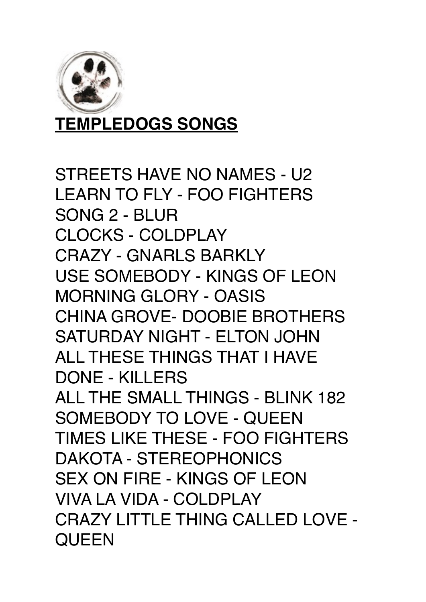

**TEMPLEDOGS SONGS** 

STREETS HAVE NO NAMES - U2 LEARN TO FLY - FOO FIGHTERS SONG 2 - BLUR CLOCKS - COLDPLAY CRAZY - GNARLS BARKLY USE SOMEBODY - KINGS OF LEON MORNING GLORY - OASIS CHINA GROVE- DOOBIE BROTHERS SATURDAY NIGHT - ELTON JOHN ALL THESE THINGS THAT I HAVE DONE - KILLERS ALL THE SMALL THINGS - BLINK 182 SOMEBODY TO LOVE - QUEEN TIMES LIKE THESE - FOO FIGHTERS DAKOTA - STEREOPHONICS SEX ON FIRE - KINGS OF LEON VIVA LA VIDA - COLDPLAY CRAZY LITTLE THING CALLED LOVE - **QUEEN**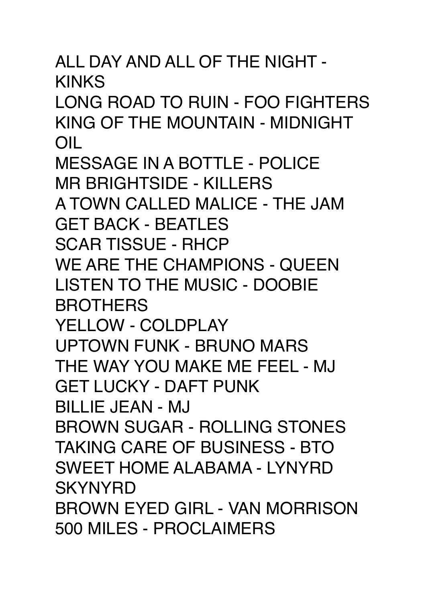ALL DAY AND ALL OF THE NIGHT - KINKS LONG ROAD TO RUIN - FOO FIGHTERS KING OF THE MOUNTAIN - MIDNIGHT OIL MESSAGE IN A BOTTLE - POLICE MR BRIGHTSIDE - KILLERS A TOWN CALLED MALICE - THE JAM GET BACK - BEATLES SCAR TISSUE - RHCP WE ARE THE CHAMPIONS - QUEEN LISTEN TO THE MUSIC - DOOBIE **BROTHERS** YELLOW - COLDPLAY UPTOWN FUNK - BRUNO MARS THE WAY YOU MAKE ME FEEL - MJ GET LUCKY - DAFT PUNK BILLIE JEAN - MJ BROWN SUGAR - ROLLING STONES TAKING CARE OF BUSINESS - BTO SWEET HOME ALABAMA - LYNYRD **SKYNYRD** BROWN EYED GIRL - VAN MORRISON 500 MILES - PROCLAIMERS